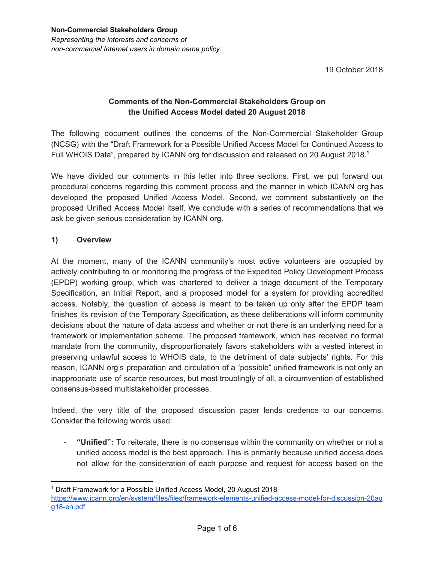19 October 2018

# **Comments of the Non-Commercial Stakeholders Group on the Unified Access Model dated 20 August 2018**

The following document outlines the concerns of the Non-Commercial Stakeholder Group (NCSG) with the "Draft Framework for a Possible Unified Access Model for Continued Access to Full WHOIS Data", prepared by ICANN org for discussion and released on 20 August 2018. **1**

We have divided our comments in this letter into three sections. First, we put forward our procedural concerns regarding this comment process and the manner in which ICANN org has developed the proposed Unified Access Model. Second, we comment substantively on the proposed Unified Access Model itself. We conclude with a series of recommendations that we ask be given serious consideration by ICANN org.

### **1) Overview**

At the moment, many of the ICANN community's most active volunteers are occupied by actively contributing to or monitoring the progress of the Expedited Policy Development Process (EPDP) working group, which was chartered to deliver a triage document of the Temporary Specification, an Initial Report, and a proposed model for a system for providing accredited access. Notably, the question of access is meant to be taken up only after the EPDP team finishes its revision of the Temporary Specification, as these deliberations will inform community decisions about the nature of data access and whether or not there is an underlying need for a framework or implementation scheme. The proposed framework, which has received no formal mandate from the community, disproportionately favors stakeholders with a vested interest in preserving unlawful access to WHOIS data, to the detriment of data subjects' rights. For this reason, ICANN org's preparation and circulation of a "possible" unified framework is not only an inappropriate use of scarce resources, but most troublingly of all, a circumvention of established consensus-based multistakeholder processes.

Indeed, the very title of the proposed discussion paper lends credence to our concerns. Consider the following words used:

- **"Unified":** To reiterate, there is no consensus within the community on whether or not a unified access model is the best approach. This is primarily because unified access does not allow for the consideration of each purpose and request for access based on the

<sup>1</sup> Draft Framework for a Possible Unified Access Model, 20 August 2018 [https://www.icann.org/en/system/files/files/framework-elements-unified-access-model-for-discussion-20au](https://www.icann.org/en/system/files/files/framework-elements-unified-access-model-for-discussion-20aug18-en.pdf) [g18-en.pdf](https://www.icann.org/en/system/files/files/framework-elements-unified-access-model-for-discussion-20aug18-en.pdf)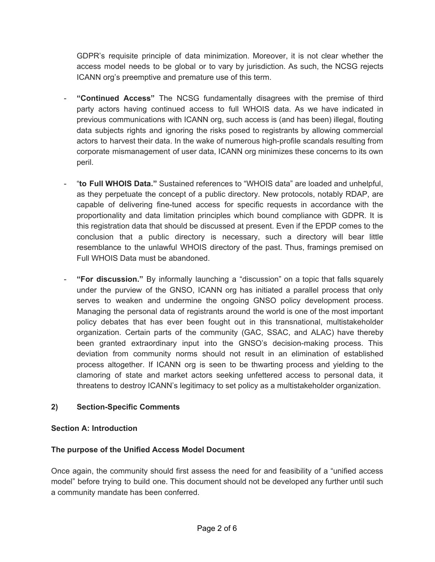GDPR's requisite principle of data minimization. Moreover, it is not clear whether the access model needs to be global or to vary by jurisdiction. As such, the NCSG rejects ICANN org's preemptive and premature use of this term.

- **"Continued Access"** The NCSG fundamentally disagrees with the premise of third party actors having continued access to full WHOIS data. As we have indicated in previous communications with ICANN org, such access is (and has been) illegal, flouting data subjects rights and ignoring the risks posed to registrants by allowing commercial actors to harvest their data. In the wake of numerous high-profile scandals resulting from corporate mismanagement of user data, ICANN org minimizes these concerns to its own peril.
- "**to Full WHOIS Data."** Sustained references to "WHOIS data" are loaded and unhelpful, as they perpetuate the concept of a public directory. New protocols, notably RDAP, are capable of delivering fine-tuned access for specific requests in accordance with the proportionality and data limitation principles which bound compliance with GDPR. It is this registration data that should be discussed at present. Even if the EPDP comes to the conclusion that a public directory is necessary, such a directory will bear little resemblance to the unlawful WHOIS directory of the past. Thus, framings premised on Full WHOIS Data must be abandoned.
- **"For discussion."** By informally launching a "discussion" on a topic that falls squarely under the purview of the GNSO, ICANN org has initiated a parallel process that only serves to weaken and undermine the ongoing GNSO policy development process. Managing the personal data of registrants around the world is one of the most important policy debates that has ever been fought out in this transnational, multistakeholder organization. Certain parts of the community (GAC, SSAC, and ALAC) have thereby been granted extraordinary input into the GNSO's decision-making process. This deviation from community norms should not result in an elimination of established process altogether. If ICANN org is seen to be thwarting process and yielding to the clamoring of state and market actors seeking unfettered access to personal data, it threatens to destroy ICANN's legitimacy to set policy as a multistakeholder organization.

# **2) Section-Specific Comments**

#### **Section A: Introduction**

#### **The purpose of the Unified Access Model Document**

Once again, the community should first assess the need for and feasibility of a "unified access model" before trying to build one. This document should not be developed any further until such a community mandate has been conferred.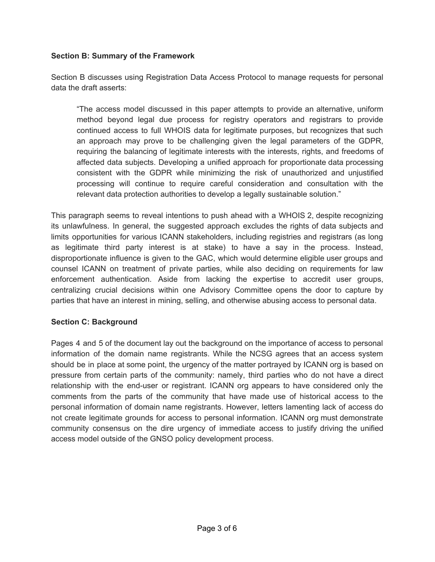#### **Section B: Summary of the Framework**

Section B discusses using Registration Data Access Protocol to manage requests for personal data the draft asserts:

"The access model discussed in this paper attempts to provide an alternative, uniform method beyond legal due process for registry operators and registrars to provide continued access to full WHOIS data for legitimate purposes, but recognizes that such an approach may prove to be challenging given the legal parameters of the GDPR, requiring the balancing of legitimate interests with the interests, rights, and freedoms of affected data subjects. Developing a unified approach for proportionate data processing consistent with the GDPR while minimizing the risk of unauthorized and unjustified processing will continue to require careful consideration and consultation with the relevant data protection authorities to develop a legally sustainable solution."

This paragraph seems to reveal intentions to push ahead with a WHOIS 2, despite recognizing its unlawfulness. In general, the suggested approach excludes the rights of data subjects and limits opportunities for various ICANN stakeholders, including registries and registrars (as long as legitimate third party interest is at stake) to have a say in the process. Instead, disproportionate influence is given to the GAC, which would determine eligible user groups and counsel ICANN on treatment of private parties, while also deciding on requirements for law enforcement authentication. Aside from lacking the expertise to accredit user groups, centralizing crucial decisions within one Advisory Committee opens the door to capture by parties that have an interest in mining, selling, and otherwise abusing access to personal data.

#### **Section C: Background**

Pages 4 and 5 of the document lay out the background on the importance of access to personal information of the domain name registrants. While the NCSG agrees that an access system should be in place at some point, the urgency of the matter portrayed by ICANN org is based on pressure from certain parts of the community: namely, third parties who do not have a direct relationship with the end-user or registrant. ICANN org appears to have considered only the comments from the parts of the community that have made use of historical access to the personal information of domain name registrants. However, letters lamenting lack of access do not create legitimate grounds for access to personal information. ICANN org must demonstrate community consensus on the dire urgency of immediate access to justify driving the unified access model outside of the GNSO policy development process.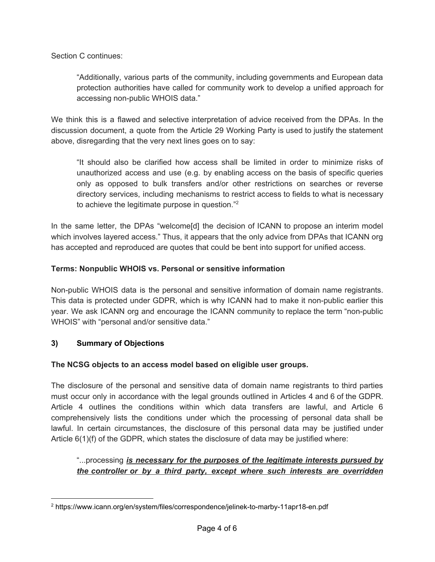Section C continues:

"Additionally, various parts of the community, including governments and European data protection authorities have called for community work to develop a unified approach for accessing non-public WHOIS data."

We think this is a flawed and selective interpretation of advice received from the DPAs. In the discussion document, a quote from the Article 29 Working Party is used to justify the statement above, disregarding that the very next lines goes on to say:

"It should also be clarified how access shall be limited in order to minimize risks of unauthorized access and use (e.g. by enabling access on the basis of specific queries only as opposed to bulk transfers and/or other restrictions on searches or reverse directory services, including mechanisms to restrict access to fields to what is necessary to achieve the legitimate purpose in question."<sup>2</sup>

In the same letter, the DPAs "welcome[d] the decision of ICANN to propose an interim model which involves layered access." Thus, it appears that the only advice from DPAs that ICANN org has accepted and reproduced are quotes that could be bent into support for unified access.

#### **Terms: Nonpublic WHOIS vs. Personal or sensitive information**

Non-public WHOIS data is the personal and sensitive information of domain name registrants. This data is protected under GDPR, which is why ICANN had to make it non-public earlier this year. We ask ICANN org and encourage the ICANN community to replace the term "non-public WHOIS" with "personal and/or sensitive data."

#### **3) Summary of Objections**

#### **The NCSG objects to an access model based on eligible user groups.**

The disclosure of the personal and sensitive data of domain name registrants to third parties must occur only in accordance with the legal grounds outlined in Articles 4 and 6 of the GDPR. Article 4 outlines the conditions within which data transfers are lawful, and Article 6 comprehensively lists the conditions under which the processing of personal data shall be lawful. In certain circumstances, the disclosure of this personal data may be justified under Article 6(1)(f) of the GDPR, which states the disclosure of data may be justified where:

### "...processing *is necessary for the purposes of the legitimate interests pursued by the controller or by a third party, except where such interests are overridden*

<sup>2</sup> <https://www.icann.org/en/system/files/correspondence/jelinek-to-marby-11apr18-en.pdf>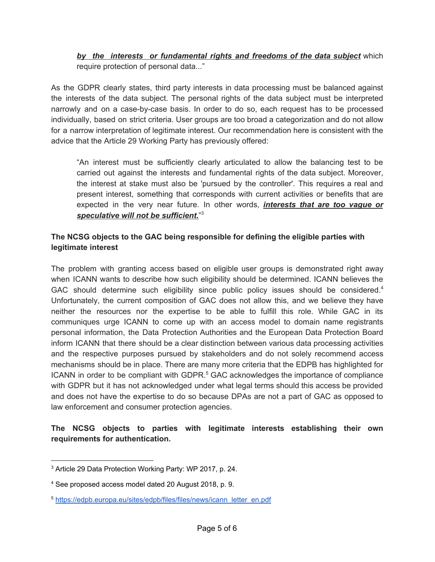# *by the interests or fundamental rights and freedoms of the data subject* which require protection of personal data..."

As the GDPR clearly states, third party interests in data processing must be balanced against the interests of the data subject. The personal rights of the data subject must be interpreted narrowly and on a case-by-case basis. In order to do so, each request has to be processed individually, based on strict criteria. User groups are too broad a categorization and do not allow for a narrow interpretation of legitimate interest. Our recommendation here is consistent with the advice that the Article 29 Working Party has previously offered:

"An interest must be sufficiently clearly articulated to allow the balancing test to be carried out against the interests and fundamental rights of the data subject. Moreover, the interest at stake must also be 'pursued by the controller'. This requires a real and present interest, something that corresponds with current activities or benefits that are expected in the very near future. In other words, *interests that are too vague or speculative will not be sufficient.*" 3

# **The NCSG objects to the GAC being responsible for defining the eligible parties with legitimate interest**

The problem with granting access based on eligible user groups is demonstrated right away when ICANN wants to describe how such eligibility should be determined. ICANN believes the GAC should determine such eligibility since public policy issues should be considered.<sup>4</sup> Unfortunately, the current composition of GAC does not allow this, and we believe they have neither the resources nor the expertise to be able to fulfill this role. While GAC in its communiques urge ICANN to come up with an access model to domain name registrants personal information, the Data Protection Authorities and the European Data Protection Board inform ICANN that there should be a clear distinction between various data processing activities and the respective purposes pursued by stakeholders and do not solely recommend access mechanisms should be in place. There are many more criteria that the EDPB has highlighted for ICANN in order to be compliant with GDPR.<sup>5</sup> GAC acknowledges the importance of compliance with GDPR but it has not acknowledged under what legal terms should this access be provided and does not have the expertise to do so because DPAs are not a part of GAC as opposed to law enforcement and consumer protection agencies.

**The NCSG objects to parties with legitimate interests establishing their own requirements for authentication.**

<sup>3</sup> Article 29 Data Protection Working Party: WP 2017, p. 24.

<sup>4</sup> See proposed access model dated 20 August 2018, p. 9.

<sup>&</sup>lt;sup>5</sup> [https://edpb.europa.eu/sites/edpb/files/files/news/icann\\_letter\\_en.pdf](https://edpb.europa.eu/sites/edpb/files/files/news/icann_letter_en.pdf)